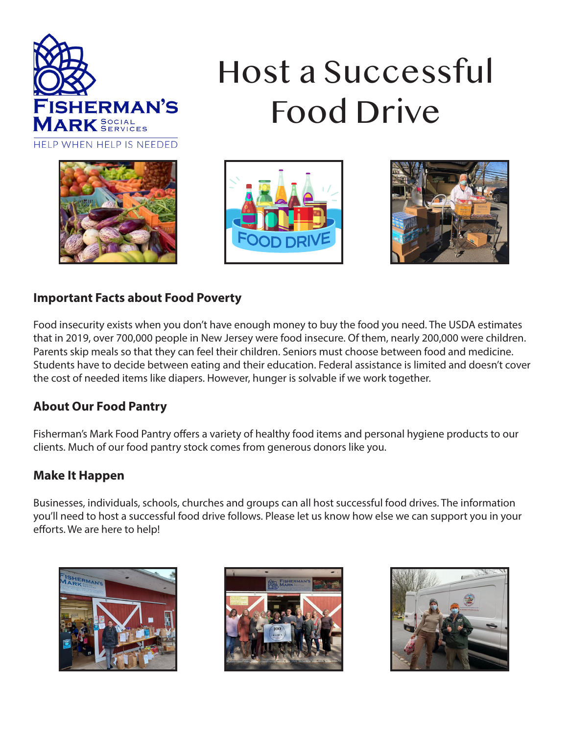

# Host a Successful Food Drive







#### **Important Facts about Food Poverty**

Food insecurity exists when you don't have enough money to buy the food you need. The USDA estimates that in 2019, over 700,000 people in New Jersey were food insecure. Of them, nearly 200,000 were children. Parents skip meals so that they can feel their children. Seniors must choose between food and medicine. Students have to decide between eating and their education. Federal assistance is limited and doesn't cover the cost of needed items like diapers. However, hunger is solvable if we work together.

## **About Our Food Pantry**

Fisherman's Mark Food Pantry offers a variety of healthy food items and personal hygiene products to our clients. Much of our food pantry stock comes from generous donors like you.

## **Make It Happen**

Businesses, individuals, schools, churches and groups can all host successful food drives. The information you'll need to host a successful food drive follows. Please let us know how else we can support you in your efforts. We are here to help!